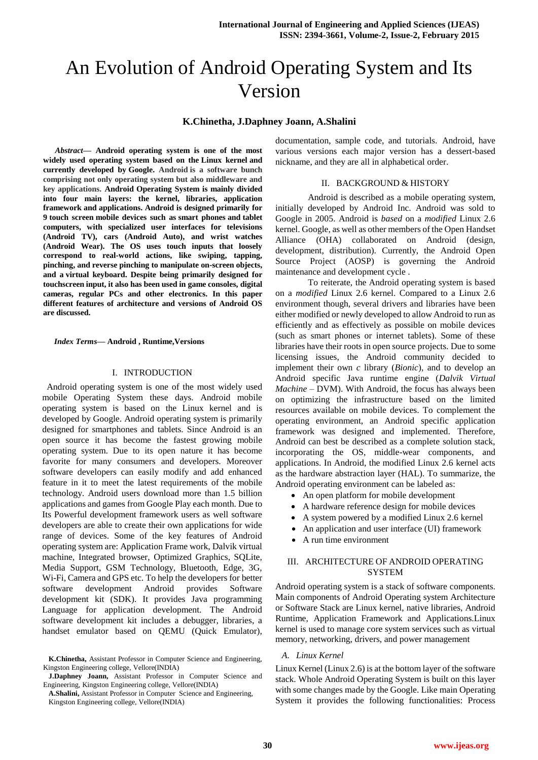# An Evolution of Android Operating System and Its Version

#### **K.Chinetha, J.Daphney Joann, A.Shalini**

*Abstract***— Android operating system is one of the most widely used operating system based on the [Linux kernel](http://en.wikipedia.org/wiki/Linux_kernel) and currently developed by [Google.](http://en.wikipedia.org/wiki/Google) Android is a software bunch comprising not only operating system but also middleware and key applications. Android Operating System is mainly divided into four main layers: the kernel, libraries, application framework and applications. Android is designed primarily for 9 [touch screen](http://en.wikipedia.org/wiki/Touchscreen) mobile devices such as [smart phones](http://en.wikipedia.org/wiki/Smartphone) and [tablet](http://en.wikipedia.org/wiki/Tablet_computer)  [computers,](http://en.wikipedia.org/wiki/Tablet_computer) with specialized user interfaces for televisions [\(Android TV\)](http://en.wikipedia.org/wiki/Android_TV), cars [\(Android Auto\)](http://en.wikipedia.org/wiki/Android_Auto), and wrist watches [\(Android Wear\)](http://en.wikipedia.org/wiki/Android_Wear). The OS uses touch inputs that loosely correspond to real-world actions, like swiping, tapping, pinching, and reverse pinching to manipulate on-screen objects, and a [virtual keyboard.](http://en.wikipedia.org/wiki/Virtual_keyboard) Despite being primarily designed for touchscreen input, it also has been used in [game consoles,](http://en.wikipedia.org/wiki/Video_game_console) [digital](http://en.wikipedia.org/wiki/Digital_camera)  [cameras,](http://en.wikipedia.org/wiki/Digital_camera) regular PCs and other electronics. In this paper different features of architecture and versions of Android OS are discussed.** 

*Index Terms***— Android , Runtime,Versions**

#### I. INTRODUCTION

 Android operating system is one of the most widely used mobile Operating System these days. Android mobile operating system is based on the Linux kernel and is developed by Google. Android operating system is primarily designed for smartphones and tablets. Since Android is an open source it has become the fastest growing mobile operating system. Due to its open nature it has become favorite for many consumers and developers. Moreover software developers can easily modify and add enhanced feature in it to meet the latest requirements of the mobile technology. Android users download more than 1.5 billion applications and games from Google Play each month. Due to Its Powerful development framework users as well software developers are able to create their own applications for wide range of devices. Some of the key features of Android operating system are: Application Frame work, Dalvik virtual machine, Integrated browser, Optimized Graphics, SQLite, Media Support, GSM Technology, Bluetooth, Edge, 3G, Wi-Fi, Camera and GPS etc. To help the developers for better software development Android provides Software development kit (SDK). It provides Java programming Language for application development. The Android software development kit includes a debugger, libraries, a handset emulator based on QEMU (Quick Emulator), documentation, sample code, and tutorials. Android, have various versions each major version has a dessert-based nickname, and they are all in alphabetical order.

#### II. BACKGROUND & HISTORY

Android is described as a mobile operating system, initially developed by Android Inc. Android was sold to Google in 2005. Android is *based* on a *modified* Linux 2.6 kernel. Google, as well as other members of the Open Handset Alliance (OHA) collaborated on Android (design, development, distribution). Currently, the Android Open Source Project (AOSP) is governing the Android maintenance and development cycle .

To reiterate, the Android operating system is based on a *modified* Linux 2.6 kernel. Compared to a Linux 2.6 environment though, several drivers and libraries have been either modified or newly developed to allow Android to run as efficiently and as effectively as possible on mobile devices (such as smart phones or internet tablets). Some of these libraries have their roots in open source projects. Due to some licensing issues, the Android community decided to implement their own *c* library (*Bionic*), and to develop an Android specific Java runtime engine (*Dalvik Virtual Machine* – DVM). With Android, the focus has always been on optimizing the infrastructure based on the limited resources available on mobile devices. To complement the operating environment, an Android specific application framework was designed and implemented. Therefore, Android can best be described as a complete solution stack, incorporating the OS, middle-wear components, and applications. In Android, the modified Linux 2.6 kernel acts as the hardware abstraction layer (HAL). To summarize, the Android operating environment can be labeled as:

- An open platform for mobile development
- A hardware reference design for mobile devices
- A system powered by a modified Linux 2.6 kernel
- An application and user interface (UI) framework
- A run time environment

### III. ARCHITECTURE OF ANDROID OPERATING **SYSTEM**

Android operating system is a stack of software components. Main components of Android Operating system Architecture or Software Stack are Linux kernel, native libraries, Android Runtime, Application Framework and Applications.Linux kernel is used to manage core system services such as virtual memory, networking, drivers, and power management

#### *A. Linux Kernel*

Linux Kernel (Linux 2.6) is at the bottom layer of the software stack. Whole Android Operating System is built on this layer with some changes made by the Google. Like main Operating System it provides the following functionalities: Process

**K.Chinetha,** Assistant Professor in Computer Science and Engineering, Kingston Engineering college, Vellore(INDIA)

**J.Daphney Joann,** Assistant Professor in Computer Science and Engineering, Kingston Engineering college, Vellore(INDIA)

**A.Shalini,** Assistant Professor in Computer Science and Engineering, Kingston Engineering college, Vellore(INDIA)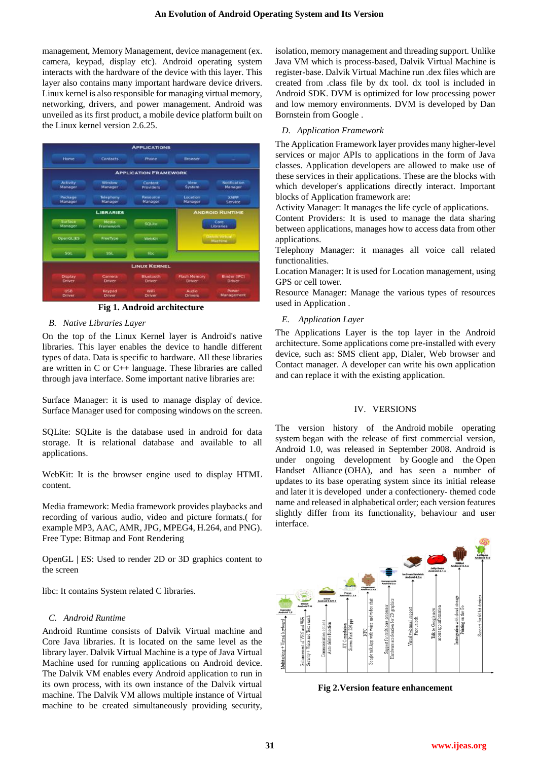management, Memory Management, device management (ex. camera, keypad, display etc). Android operating system interacts with the hardware of the device with this layer. This layer also contains many important hardware device drivers. Linux kernel is also responsible for managing virtual memory, networking, drivers, and power management. Android was unveiled as its first product, a mobile device platform built on the Linux kernel version 2.6.25.



**Fig 1. Android architecture**

# *B. Native Libraries Layer*

On the top of the Linux Kernel layer is Android's native libraries. This layer enables the device to handle different types of data. Data is specific to hardware. All these libraries are written in C or C++ language. These libraries are called through java interface. Some important native libraries are:

Surface Manager: it is used to manage display of device. Surface Manager used for composing windows on the screen.

SQLite: SQLite is the database used in android for data storage. It is relational database and available to all applications.

WebKit: It is the browser engine used to display HTML content.

Media framework: Media framework provides playbacks and recording of various audio, video and picture formats.( for example MP3, AAC, AMR, JPG, MPEG4, H.264, and PNG). Free Type: Bitmap and Font Rendering

OpenGL | ES: Used to render 2D or 3D graphics content to the screen

libc: It contains System related C libraries.

# *C. Android Runtime*

Android Runtime consists of Dalvik Virtual machine and Core Java libraries. It is located on the same level as the library layer. Dalvik Virtual Machine is a type of Java Virtual Machine used for running applications on Android device. The Dalvik VM enables every Android application to run in its own process, with its own instance of the Dalvik virtual machine. The Dalvik VM allows multiple instance of Virtual machine to be created simultaneously providing security, isolation, memory management and threading support. Unlike Java VM which is process-based, Dalvik Virtual Machine is register-base. Dalvik Virtual Machine run .dex files which are created from .class file by dx tool. dx tool is included in Android SDK. DVM is optimized for low processing power and low memory environments. DVM is developed by Dan Bornstein from Google .

# *D. Application Framework*

The Application Framework layer provides many higher-level services or major APIs to applications in the form of Java classes. Application developers are allowed to make use of these services in their applications. These are the blocks with which developer's applications directly interact. Important blocks of Application framework are:

Activity Manager: It manages the life cycle of applications.

Content Providers: It is used to manage the data sharing between applications, manages how to access data from other applications.

Telephony Manager: it manages all voice call related functionalities.

Location Manager: It is used for Location management, using GPS or cell tower.

Resource Manager: Manage the various types of resources used in Application .

# *E. Application Layer*

The Applications Layer is the top layer in the Android architecture. Some applications come pre-installed with every device, such as: SMS client app, Dialer, Web browser and Contact manager. A developer can write his own application and can replace it with the existing application.

# IV. VERSIONS

The version history of the [Android](http://en.wikipedia.org/wiki/Android_(operating_system)) [mobile operating](http://en.wikipedia.org/wiki/Mobile_operating_system)  [system](http://en.wikipedia.org/wiki/Mobile_operating_system) began with the release of first commercial version, Android 1.0, was released in September 2008. Android is under ongoing development by [Google](http://en.wikipedia.org/wiki/Google) and the [Open](http://en.wikipedia.org/wiki/Open_Handset_Alliance)  [Handset Alliance](http://en.wikipedia.org/wiki/Open_Handset_Alliance) (OHA), and has seen a number of [updates](http://en.wikipedia.org/wiki/Patch_(computing)) to its base operating system since its initial release and later it is developed under a [confectionery-](http://en.wikipedia.org/wiki/Confectionery) themed [code](http://en.wikipedia.org/wiki/Code_name)  [name](http://en.wikipedia.org/wiki/Code_name) and released in alphabetical order; each version features slightly differ from its functionality, behaviour and user interface.



**Fig 2.Version feature enhancement**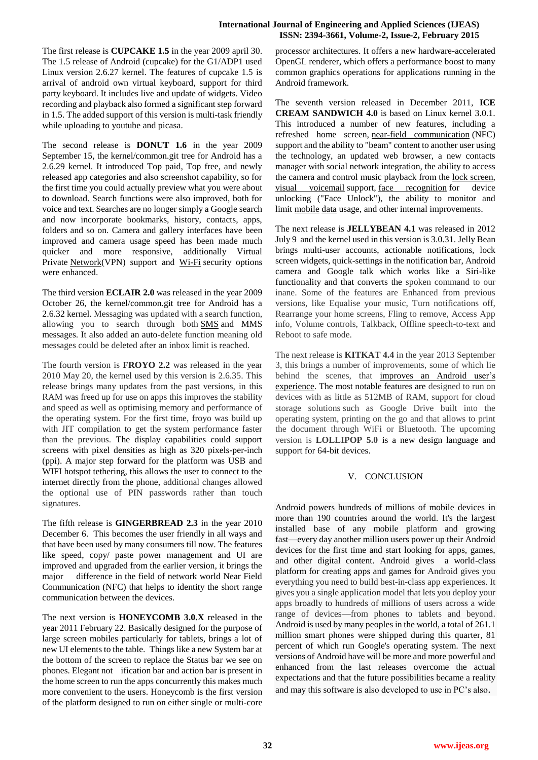#### **International Journal of Engineering and Applied Sciences (IJEAS) ISSN: 2394-3661, Volume-2, Issue-2, February 2015**

The first release is **CUPCAKE 1.5** in the year 2009 april 30. The 1.5 release of Android (cupcake) for the G1/ADP1 used Linux version 2.6.27 kernel. The features of cupcake 1.5 is arrival of android own virtual keyboard, support for third party keyboard. It includes live and update of widgets. Video recording and playback also formed a significant step forward in 1.5. The added support of this version is multi-task friendly while uploading to youtube and picasa.

The second release is **DONUT 1.6** in the year 2009 September 15, the kernel/common.git tree for Android has a 2.6.29 kernel. It introduced Top paid, Top free, and newly released app categories and also screenshot capability, so for the first time you could actually preview what you were about to download. Search functions were also improved, both for voice and text. Searches are no longer simply a Google search and now incorporate bookmarks, history, contacts, apps, folders and so on. Camera and gallery interfaces have been improved and camera usage speed has been made much quicker and more responsive, additionally Virtual Private [Network\(](http://www.knowyourmobile.com/glossary/network)VPN) support and [Wi-Fi](http://www.knowyourmobile.com/glossary/wi-fi) security options were enhanced.

The third version **ECLAIR 2.0** was released in the year 2009 October 26, the kernel/common.git tree for Android has a 2.6.32 kernel. Messaging was updated with a search function, allowing you to search through both [SMS](http://www.knowyourmobile.com/glossary/sms) and MMS messages. It also added an auto-delete function meaning old messages could be deleted after an inbox limit is reached.

The fourth version is **FROYO 2.2** was released in the year 2010 May 20, the kernel used by this version is 2.6.35. This release brings many updates from the past versions, in this RAM was freed up for use on apps this improves the stability and speed as well as optimising memory and performance of the operating system. For the first time, froyo was build up with JIT compilation to get the system performance faster than the previous. The display capabilities could support screens with pixel densities as high as 320 pixels-per-inch (ppi). A major step forward for the platform was USB and WIFI hotspot tethering, this allows the user to connect to the internet directly from the phone, additional changes allowed the optional use of PIN passwords rather than touch signatures.

The fifth release is **GINGERBREAD 2.3** in the year 2010 December 6. This becomes the user friendly in all ways and that have been used by many consumers till now. The features like speed, copy/ paste power management and UI are improved and upgraded from the earlier version, it brings the major difference in the field of network world Near Field Communication (NFC) that helps to identity the short range communication between the devices.

The next version is **HONEYCOMB 3.0.X** released in the year 2011 February 22. Basically designed for the purpose of large screen mobiles particularly for tablets, brings a lot of new UI elements to the table. Things like a new System bar at the bottom of the screen to replace the Status bar we see on phones. Elegant not ification bar and action bar is present in the home screen to run the apps concurrently this makes much more convenient to the users. Honeycomb is the first version of the platform designed to run on either single or multi-core processor architectures. It offers a new hardware-accelerated OpenGL renderer, which offers a performance boost to many common graphics operations for applications running in the Android framework.

The seventh version released in December 2011, **ICE CREAM SANDWICH 4.0** is based on Linux kernel 3.0.1. This introduced a number of new features, including a refreshed home screen, [near-field communication](http://en.wikipedia.org/wiki/Near-field_communication) (NFC) support and the ability to "beam" content to another user using the technology, an updated web browser, a new contacts manager with social network integration, the ability to access the camera and control music playback from the [lock screen,](http://en.wikipedia.org/wiki/Lock_screen) [visual voicemail](http://en.wikipedia.org/wiki/Visual_voicemail) support, [face recognition](http://en.wikipedia.org/wiki/Face_recognition) for device unlocking ("Face Unlock"), the ability to monitor and limit [mobile](http://en.wikipedia.org/wiki/Mobile_internet) [data](http://en.wikipedia.org/wiki/Bandwidth_(computing)) usage, and other internal improvements.

The next release is **JELLYBEAN 4.1** was released in 2012 July 9 and the kernel used in this version is 3.0.31. Jelly Bean brings multi-user accounts, actionable notifications, lock screen widgets, quick-settings in the notification bar, Android camera and Google talk which works like a Siri-like functionality and that converts the spoken command to our inane. Some of the features are Enhanced from previous versions, like Equalise your music, Turn notifications off, Rearrange your home screens, Fling to remove, Access App info, Volume controls, Talkback, Offline speech-to-text and Reboot to safe mode.

The next release is **KITKAT 4.4** in the year 2013 September 3, this brings a number of improvements, some of which lie behind the scenes, that [improves](http://www.hongkiat.com/blog/increase-android-performances/) an Android user's [experience.](http://www.hongkiat.com/blog/increase-android-performances/) The most notable features are designed to run on devices with as little as 512MB of RAM, support for cloud storage solutions such as Google Drive built into the operating system, printing on the go and that allows to print the document through WiFi or Bluetooth. The upcoming version is **LOLLIPOP 5.0** is a new design language and support for 64-bit devices.

# V. CONCLUSION

Android powers hundreds of millions of mobile devices in more than 190 countries around the world. It's the largest installed base of any mobile platform and growing fast—every day another million users power up their Android devices for the first time and start looking for apps, games, and other digital content. Android gives a world-class platform for creating apps and games for Android gives you everything you need to build best-in-class app experiences. It gives you a single application model that lets you deploy your apps broadly to hundreds of millions of users across a wide range of devices—from phones to tablets and beyond. Android is used by many peoples in the world, a total of 261.1 million smart phones were shipped during this quarter, 81 percent of which run Google's operating system. The next versions of Android have will be more and more powerful and enhanced from the last releases overcome the actual expectations and that the future possibilities became a reality and may this software is also developed to use in PC's also.